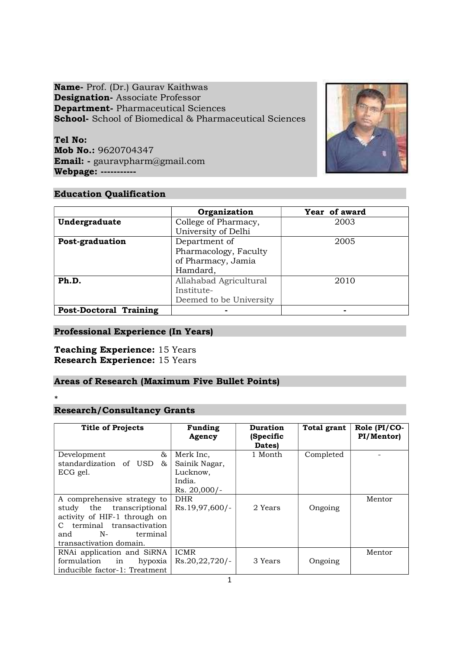Name- Prof. (Dr.) Gaurav Kaithwas Designation- Associate Professor Department- Pharmaceutical Sciences School- School of Biomedical & Pharmaceutical Sciences

Tel No: Mob No.: 9620704347 Email: - gauravpharm@gmail.com Webpage: -----------



# Education Qualification

|                               | Organization            | Year of award |
|-------------------------------|-------------------------|---------------|
| Undergraduate                 | College of Pharmacy,    | 2003          |
|                               | University of Delhi     |               |
| Post-graduation               | Department of           | 2005          |
|                               | Pharmacology, Faculty   |               |
|                               | of Pharmacy, Jamia      |               |
|                               | Hamdard,                |               |
| Ph.D.                         | Allahabad Agricultural  | 2010          |
|                               | Institute-              |               |
|                               | Deemed to be University |               |
| <b>Post-Doctoral Training</b> |                         | -             |

# Professional Experience (In Years)

# Teaching Experience: 15 Years Research Experience: 15 Years

# Areas of Research (Maximum Five Bullet Points)

 $*$ 

# Research/Consultancy Grants

| <b>Title of Projects</b>                                                                                                                                                                   | <b>Funding</b><br>Agency                         | <b>Duration</b><br>(Specific<br>Dates) | Total grant | Role $PI/CO-$<br>PI/Mentor) |
|--------------------------------------------------------------------------------------------------------------------------------------------------------------------------------------------|--------------------------------------------------|----------------------------------------|-------------|-----------------------------|
| &<br>Development<br>standardization of USD &<br>ECG gel.                                                                                                                                   | Merk Inc,<br>Sainik Nagar,<br>Lucknow,<br>India. | 1 Month                                | Completed   |                             |
|                                                                                                                                                                                            | Rs. 20,000/-                                     |                                        |             |                             |
| A comprehensive strategy to<br>study the transcriptional<br>activity of HIF-1 through on<br>terminal transactivation<br>$\mathbf{C}$<br>$N-$<br>terminal<br>and<br>transactivation domain. | <b>DHR</b><br>Rs.19,97,600/-                     | 2 Years                                | Ongoing     | Mentor                      |
| RNAi application and SiRNA<br>formulation in<br>hypoxia<br>inducible factor-1: Treatment                                                                                                   | <b>ICMR</b><br>$Rs.20,22,720/-$                  | 3 Years                                | Ongoing     | Mentor                      |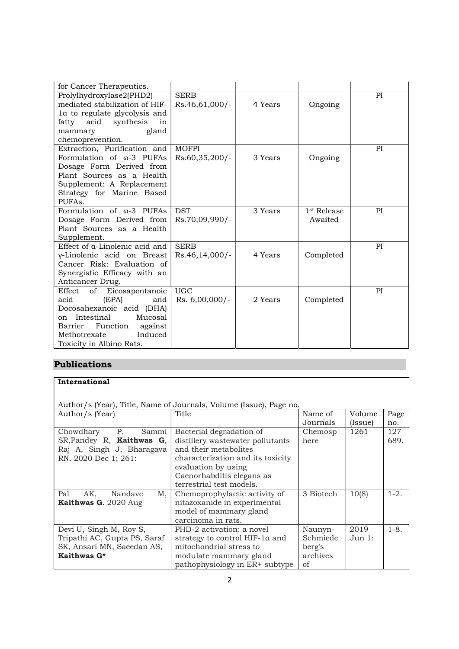| for Cancer Therapeutics.                                                                                                                                                                                     |                                |         |                                    |    |
|--------------------------------------------------------------------------------------------------------------------------------------------------------------------------------------------------------------|--------------------------------|---------|------------------------------------|----|
| Prolylhydroxylase2(PHD2)<br>mediated stabilization of HIF-<br>la to regulate glycolysis and                                                                                                                  | <b>SERB</b><br>Rs.46,61,000/-  | 4 Years | Ongoing                            | PI |
| acid synthesis<br>fatty<br>in<br>gland<br>mammary                                                                                                                                                            |                                |         |                                    |    |
| chemoprevention.                                                                                                                                                                                             |                                |         |                                    |    |
| Extraction, Purification and<br>Formulation of $\omega$ -3 PUFAs<br>Dosage Form Derived from                                                                                                                 | <b>MOFPI</b><br>Rs.60,35,200/- | 3 Years | Ongoing                            | PI |
| Plant Sources as a Health<br>Supplement: A Replacement<br>Strategy for Marine Based<br>PUFAs.                                                                                                                |                                |         |                                    |    |
| Formulation of $\omega$ -3 PUFAs<br>Dosage Form Derived from<br>Plant Sources as a Health<br>Supplement.                                                                                                     | <b>DST</b><br>Rs.70,09,990/-   | 3 Years | 1 <sup>st</sup> Release<br>Awaited | PI |
| Effect of a-Linolenic acid and<br>y-Linolenic acid on Breast<br>Cancer Risk: Evaluation of<br>Synergistic Efficacy with an<br>Anticancer Drug.                                                               | <b>SERB</b><br>Rs.46,14,000/-  | 4 Years | Completed                          | PI |
| Effect<br>οf<br>Eicosapentanoic<br>(EPA)<br>acid<br>and<br>Docosahexanoic acid (DHA)<br>Intestinal<br>Mucosal<br>on<br>Barrier<br>Function<br>against<br>Methotrexate<br>Induced<br>Toxicity in Albino Rats. | <b>UGC</b><br>Rs. 6,00,000/-   | 2 Years | Completed                          | PI |

# Publications

| International                |                                                                    |           |         |           |  |  |  |  |  |
|------------------------------|--------------------------------------------------------------------|-----------|---------|-----------|--|--|--|--|--|
|                              |                                                                    |           |         |           |  |  |  |  |  |
|                              | Author/s (Year), Title, Name of Journals, Volume (Issue), Page no. |           |         |           |  |  |  |  |  |
| Author/s (Year)              | <b>Title</b>                                                       | Name of   | Volume  | Page      |  |  |  |  |  |
|                              |                                                                    | Journals  | (Issue) | no.       |  |  |  |  |  |
| P,<br>Sammi<br>Chowdhary     | Bacterial degradation of                                           | Chemosp   | 1261    | 127       |  |  |  |  |  |
| SR, Pandey R, Kaithwas G,    | distillery wastewater pollutants                                   | here      |         | 689.      |  |  |  |  |  |
| Raj A, Singh J, Bharagava    | and their metabolites                                              |           |         |           |  |  |  |  |  |
| RN. 2020 Dec 1; 261:         | characterization and its toxicity                                  |           |         |           |  |  |  |  |  |
|                              | evaluation by using                                                |           |         |           |  |  |  |  |  |
|                              | Caenorhabditis elegans as                                          |           |         |           |  |  |  |  |  |
|                              | terrestrial test models.                                           |           |         |           |  |  |  |  |  |
| Pal<br>AK,<br>Nandave<br>Μ,  | Chemoprophylactic activity of                                      | 3 Biotech | 10(8)   | $1-2.$    |  |  |  |  |  |
| Kaithwas G. 2020 Aug         | nitazoxanide in experimental                                       |           |         |           |  |  |  |  |  |
|                              | model of mammary gland                                             |           |         |           |  |  |  |  |  |
|                              | carcinoma in rats.                                                 |           |         |           |  |  |  |  |  |
| Devi U, Singh M, Roy S,      | PHD-2 activation: a novel                                          | Naunyn-   | 2019    | $1 - 8$ . |  |  |  |  |  |
| Tripathi AC, Gupta PS, Saraf | strategy to control HIF-1a and                                     | Schmiede  | Jun 1:  |           |  |  |  |  |  |
| SK, Ansari MN, Saeedan AS,   | mitochondrial stress to                                            | berg's    |         |           |  |  |  |  |  |
| Kaithwas G*                  | modulate mammary gland                                             | archives  |         |           |  |  |  |  |  |
|                              | pathophysiology in ER+ subtype                                     | of        |         |           |  |  |  |  |  |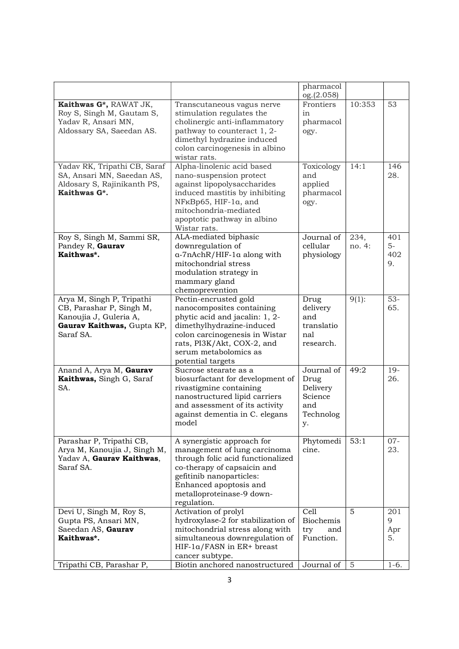|                                                                                                                            |                                                                                                                                                                                                                                     | pharmacol<br>og.(2.058)                                             |                 |                          |
|----------------------------------------------------------------------------------------------------------------------------|-------------------------------------------------------------------------------------------------------------------------------------------------------------------------------------------------------------------------------------|---------------------------------------------------------------------|-----------------|--------------------------|
| Kaithwas G*, RAWAT JK,<br>Roy S, Singh M, Gautam S,<br>Yadav R, Ansari MN,<br>Aldossary SA, Saeedan AS.                    | Transcutaneous vagus nerve<br>stimulation regulates the<br>cholinergic anti-inflammatory<br>pathway to counteract 1, 2-<br>dimethyl hydrazine induced<br>colon carcinogenesis in albino<br>wistar rats.                             | Frontiers<br>in<br>pharmacol<br>ogy.                                | 10:353          | 53                       |
| Yadav RK, Tripathi CB, Saraf<br>SA, Ansari MN, Saeedan AS,<br>Aldosary S, Rajinikanth PS,<br>Kaithwas G*.                  | Alpha-linolenic acid based<br>nano-suspension protect<br>against lipopolysaccharides<br>induced mastitis by inhibiting<br>NF <sub>K</sub> Bp65, HIF-1a, and<br>mitochondria-mediated<br>apoptotic pathway in albino<br>Wistar rats. | Toxicology<br>and<br>applied<br>pharmacol<br>ogy.                   | 14:1            | 146<br>28.               |
| Roy S, Singh M, Sammi SR,<br>Pandey R, Gaurav<br>Kaithwas*.                                                                | ALA-mediated biphasic<br>downregulation of<br>a-7nAchR/HIF-1a along with<br>mitochondrial stress<br>modulation strategy in<br>mammary gland<br>chemoprevention                                                                      | Journal of<br>cellular<br>physiology                                | 234,<br>no. 4:  | 401<br>$5-$<br>402<br>9. |
| Arya M, Singh P, Tripathi<br>CB, Parashar P, Singh M,<br>Kanoujia J, Guleria A,<br>Gaurav Kaithwas, Gupta KP,<br>Saraf SA. | Pectin-encrusted gold<br>nanocomposites containing<br>phytic acid and jacalin: 1, 2-<br>dimethylhydrazine-induced<br>colon carcinogenesis in Wistar<br>rats, PI3K/Akt, COX-2, and<br>serum metabolomics as<br>potential targets     | Drug<br>delivery<br>and<br>translatio<br>nal<br>research.           | $9(1)$ :        | $53-$<br>65.             |
| Anand A, Arya M, Gaurav<br>Kaithwas, Singh G, Saraf<br>SA.                                                                 | Sucrose stearate as a<br>biosurfactant for development of<br>rivastigmine containing<br>nanostructured lipid carriers<br>and assessment of its activity<br>against dementia in C. elegans<br>model                                  | Journal of<br>Drug<br>Delivery<br>Science<br>and<br>Technolog<br>y. | 49:2            | $19-$<br>26.             |
| Parashar P, Tripathi CB,<br>Arya M, Kanoujia J, Singh M,<br>Yadav A, Gaurav Kaithwas,<br>Saraf SA.                         | A synergistic approach for<br>management of lung carcinoma<br>through folic acid functionalized<br>co-therapy of capsaicin and<br>gefitinib nanoparticles:<br>Enhanced apoptosis and<br>metalloproteinase-9 down-<br>regulation.    | Phytomedi<br>cine.                                                  | 53:1            | $07 -$<br>23.            |
| Devi U, Singh M, Roy S,<br>Gupta PS, Ansari MN,<br>Saeedan AS, Gaurav<br>Kaithwas*.                                        | Activation of prolyl<br>hydroxylase-2 for stabilization of<br>mitochondrial stress along with<br>simultaneous downregulation of<br>$HIF-1a/FASN$ in $ER+$ breast<br>cancer subtype.                                                 | Cell<br><b>Biochemis</b><br>try<br>and<br>Function.                 | $\overline{5}$  | 201<br>9<br>Apr<br>5.    |
| Tripathi CB, Parashar P,                                                                                                   | Biotin anchored nanostructured                                                                                                                                                                                                      | Journal of                                                          | $5\overline{)}$ | $1-6.$                   |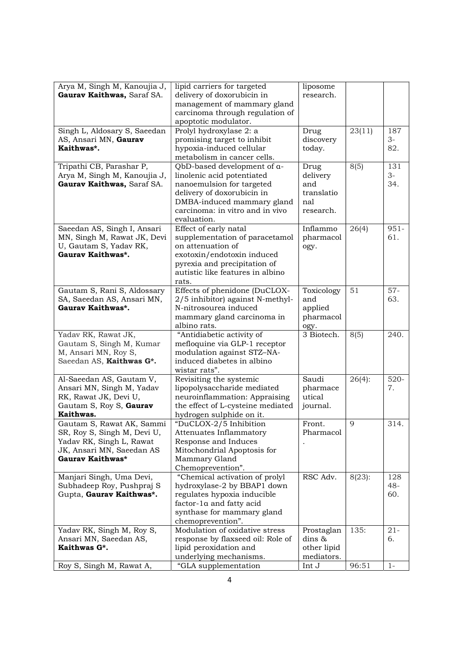| Arya M, Singh M, Kanoujia J,                          | lipid carriers for targeted                                        | liposome            |           |         |
|-------------------------------------------------------|--------------------------------------------------------------------|---------------------|-----------|---------|
| Gaurav Kaithwas, Saraf SA.                            | delivery of doxorubicin in                                         | research.           |           |         |
|                                                       | management of mammary gland                                        |                     |           |         |
|                                                       | carcinoma through regulation of                                    |                     |           |         |
|                                                       | apoptotic modulator.                                               |                     |           |         |
| Singh L, Aldosary S, Saeedan                          | Prolyl hydroxylase 2: a                                            | Drug                | 23(11)    | 187     |
| AS, Ansari MN, Gaurav                                 | promising target to inhibit                                        | discovery           |           | $3-$    |
| Kaithwas*.                                            | hypoxia-induced cellular                                           | today.              |           | 82.     |
|                                                       | metabolism in cancer cells.                                        |                     |           |         |
| Tripathi CB, Parashar P,                              | QbD-based development of a-                                        | Drug                | 8(5)      | 131     |
| Arya M, Singh M, Kanoujia J,                          | linolenic acid potentiated                                         | delivery            |           | $3-$    |
| Gaurav Kaithwas, Saraf SA.                            | nanoemulsion for targeted                                          | and                 |           | 34.     |
|                                                       | delivery of doxorubicin in                                         | translatio          |           |         |
|                                                       | DMBA-induced mammary gland                                         | nal                 |           |         |
|                                                       | carcinoma: in vitro and in vivo                                    | research.           |           |         |
|                                                       | evaluation.                                                        |                     |           |         |
| Saeedan AS, Singh I, Ansari                           | Effect of early natal                                              | Inflammo            | 26(4)     | $951 -$ |
| MN, Singh M, Rawat JK, Devi                           |                                                                    | pharmacol           |           | 61.     |
| U, Gautam S, Yadav RK,                                | supplementation of paracetamol<br>on attenuation of                |                     |           |         |
| Gaurav Kaithwas*.                                     | exotoxin/endotoxin induced                                         | ogy.                |           |         |
|                                                       | pyrexia and precipitation of                                       |                     |           |         |
|                                                       | autistic like features in albino                                   |                     |           |         |
|                                                       | rats.                                                              |                     |           |         |
| Gautam S, Rani S, Aldossary                           | Effects of phenidone (DuCLOX-                                      | Toxicology          | 51        | $57 -$  |
|                                                       |                                                                    | and                 |           | 63.     |
| SA, Saeedan AS, Ansari MN,<br>Gaurav Kaithwas*.       | 2/5 inhibitor) against N-methyl-<br>N-nitrosourea induced          |                     |           |         |
|                                                       |                                                                    | applied             |           |         |
|                                                       | mammary gland carcinoma in                                         | pharmacol           |           |         |
|                                                       | albino rats.                                                       | ogy.<br>3 Biotech.  |           | 240.    |
| Yadav RK, Rawat JK,                                   | "Antidiabetic activity of                                          |                     | 8(5)      |         |
| Gautam S, Singh M, Kumar                              | mefloquine via GLP-1 receptor                                      |                     |           |         |
| M, Ansari MN, Roy S,                                  | modulation against STZ-NA-                                         |                     |           |         |
| Saeedan AS, Kaithwas G*.                              | induced diabetes in albino                                         |                     |           |         |
|                                                       | wistar rats".                                                      | Saudi               | $26(4)$ : | $520 -$ |
| Al-Saeedan AS, Gautam V,<br>Ansari MN, Singh M, Yadav | Revisiting the systemic                                            | pharmace            |           |         |
|                                                       | lipopolysaccharide mediated                                        | utical              |           | 7.      |
| RK, Rawat JK, Devi U,                                 | neuroinflammation: Appraising<br>the effect of L-cysteine mediated |                     |           |         |
| Gautam S, Roy S, Gaurav                               |                                                                    | journal.            |           |         |
| Kaithwas.<br>Gautam S, Rawat AK, Sammi                | hydrogen sulphide on it.<br>"DuCLOX-2/5 Inhibition                 |                     | 9         | 314.    |
| SR, Roy S, Singh M, Devi U,                           |                                                                    | Front.<br>Pharmacol |           |         |
| Yadav RK, Singh L, Rawat                              | Attenuates Inflammatory<br>Response and Induces                    |                     |           |         |
| JK, Ansari MN, Saeedan AS                             | Mitochondrial Apoptosis for                                        |                     |           |         |
| Gaurav Kaithwas*                                      | Mammary Gland                                                      |                     |           |         |
|                                                       | Chemoprevention".                                                  |                     |           |         |
| Manjari Singh, Uma Devi,                              | "Chemical activation of prolyl                                     | RSC Adv.            | $8(23)$ : | 128     |
| Subhadeep Roy, Pushpraj S                             | hydroxylase-2 by BBAP1 down                                        |                     |           | $48 -$  |
| Gupta, Gaurav Kaithwas*.                              | regulates hypoxia inducible                                        |                     |           | 60.     |
|                                                       | factor-1a and fatty acid                                           |                     |           |         |
|                                                       | synthase for mammary gland                                         |                     |           |         |
|                                                       | chemoprevention".                                                  |                     |           |         |
| Yadav RK, Singh M, Roy S,                             | Modulation of oxidative stress                                     | Prostaglan          | 135:      | $21 -$  |
| Ansari MN, Saeedan AS,                                | response by flaxseed oil: Role of                                  | dins &              |           | 6.      |
| Kaithwas G*.                                          | lipid peroxidation and                                             | other lipid         |           |         |
|                                                       | underlying mechanisms.                                             | mediators.          |           |         |
| Roy S, Singh M, Rawat A,                              | "GLA supplementation                                               | Int J               | 96:51     | $1-$    |
|                                                       |                                                                    |                     |           |         |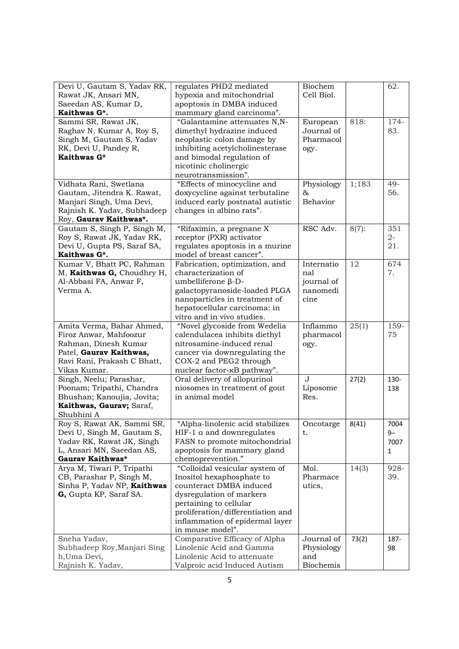| Devi U, Gautam S, Yadav RK,                               | regulates PHD2 mediated                                     | Biochem               |          | 62.          |
|-----------------------------------------------------------|-------------------------------------------------------------|-----------------------|----------|--------------|
| Rawat JK, Ansari MN,                                      | hypoxia and mitochondrial                                   | Cell Biol.            |          |              |
| Saeedan AS, Kumar D,                                      | apoptosis in DMBA induced                                   |                       |          |              |
| Kaithwas G*.                                              | mammary gland carcinoma".                                   |                       |          |              |
| Sammi SR, Rawat JK,                                       | "Galantamine attenuates N,N-                                | European              | 818:     | 174-         |
| Raghav N, Kumar A, Roy S,                                 | dimethyl hydrazine induced                                  | Journal of            |          | 83.          |
| Singh M, Gautam S, Yadav                                  | neoplastic colon damage by                                  | Pharmacol             |          |              |
| RK, Devi U, Pandey R,                                     | inhibiting acetylcholinesterase                             | ogy.                  |          |              |
| Kaithwas G*                                               | and bimodal regulation of                                   |                       |          |              |
|                                                           | nicotinic cholinergic                                       |                       |          |              |
|                                                           | neurotransmission".                                         |                       |          |              |
| Vidhata Rani, Swetlana                                    | "Effects of minocycline and                                 | Physiology            | 1;183    | 49-          |
| Gautam, Jitendra K. Rawat,                                | doxycycline against terbutaline                             | 87,                   |          | 56.          |
| Manjari Singh, Uma Devi,                                  | induced early postnatal autistic                            | <b>Behavior</b>       |          |              |
| Rajnish K. Yadav, Subhadeep                               | changes in albino rats".                                    |                       |          |              |
| Roy, Gaurav Kaithwas*.                                    |                                                             |                       |          |              |
|                                                           |                                                             | RSC Adv.              | $8(7)$ : | 351          |
| Gautam S, Singh P, Singh M,<br>Roy S, Rawat JK, Yadav RK, | "Rifaximin, a pregnane X                                    |                       |          | $2-$         |
|                                                           | receptor (PXR) activator                                    |                       |          | 21.          |
| Devi U, Gupta PS, Saraf SA,<br>Kaithwas G*.               | regulates apoptosis in a murine<br>model of breast cancer". |                       |          |              |
| Kumar V, Bhatt PC, Rahman                                 |                                                             | Internatio            | 12       | 674          |
| M, Kaithwas G, Choudhry H,                                | Fabrication, optimization, and<br>characterization of       | nal                   |          | 7.           |
|                                                           |                                                             |                       |          |              |
| Al-Abbasi FA, Anwar F,                                    | umbelliferone $\beta$ -D-                                   | journal of            |          |              |
| Verma A.                                                  | galactopyranoside-loaded PLGA                               | nanomedi              |          |              |
|                                                           | nanoparticles in treatment of                               | cine                  |          |              |
|                                                           | hepatocellular carcinoma: in                                |                       |          |              |
|                                                           | vitro and in vivo studies.                                  |                       |          |              |
| Amita Verma, Bahar Ahmed,                                 | "Novel glycoside from Wedelia                               | Inflammo              | 25(1)    | 159-         |
| Firoz Anwar, Mahfoozur                                    | calendulacea inhibits diethyl                               | pharmacol             |          | 75           |
| Rahman, Dinesh Kumar                                      | nitrosamine-induced renal                                   | ogy.                  |          |              |
| Patel, Gaurav Kaithwas,                                   | cancer via downregulating the                               |                       |          |              |
| Ravi Rani, Prakash C Bhatt,                               | COX-2 and PEG2 through                                      |                       |          |              |
| Vikas Kumar.                                              | nuclear factor- $\kappa$ B pathway".                        |                       |          |              |
| Singh, Neelu; Parashar,                                   | Oral delivery of allopurinol                                | $\overline{\text{J}}$ | 27(2)    | 130-         |
| Poonam; Tripathi, Chandra                                 | niosomes in treatment of gout                               | Liposome              |          | 138          |
| Bhushan; Kanoujia, Jovita;                                | in animal model                                             | Res.                  |          |              |
| Kaithwas, Gaurav; Saraf,                                  |                                                             |                       |          |              |
| Shubhini A                                                |                                                             |                       |          |              |
| Roy S, Rawat AK, Sammi SR                                 | "Alpha-linolenic acid stabilizes                            | Oncotarge             | 8(41)    | 7004         |
| Devi U, Singh M, Gautam S,                                | HIF-1 a and downregulates                                   | t.                    |          | $9-$         |
| Yadav RK, Rawat JK, Singh                                 | FASN to promote mitochondrial                               |                       |          | 7007         |
| L, Ansari MN, Saeedan AS,                                 | apoptosis for mammary gland                                 |                       |          | $\mathbf{1}$ |
| Gaurav Kaithwas*                                          | chemoprevention."                                           |                       |          |              |
| Arya M, Tiwari P, Tripathi                                | "Colloidal vesicular system of                              | Mol.                  | 14(3)    | 928-         |
| CB, Parashar P, Singh M,                                  | Inositol hexaphosphate to                                   | Pharmace              |          | 39.          |
| Sinha P, Yadav NP, Kaithwas                               | counteract DMBA induced                                     | utics,                |          |              |
| G, Gupta KP, Saraf SA.                                    | dysregulation of markers                                    |                       |          |              |
|                                                           | pertaining to cellular                                      |                       |          |              |
|                                                           | proliferation/differentiation and                           |                       |          |              |
|                                                           | inflammation of epidermal layer                             |                       |          |              |
|                                                           | in mouse model".                                            |                       |          |              |
| Sneha Yadav,                                              | Comparative Efficacy of Alpha                               | Journal of            | 73(2)    | 187-         |
| Subhadeep Roy, Manjari Sing                               | Linolenic Acid and Gamma                                    | Physiology            |          | 98           |
| h, Uma Devi,                                              | Linolenic Acid to attenuate                                 | and                   |          |              |
| Rajnish K. Yadav,                                         | Valproic acid Induced Autism                                | Biochemis             |          |              |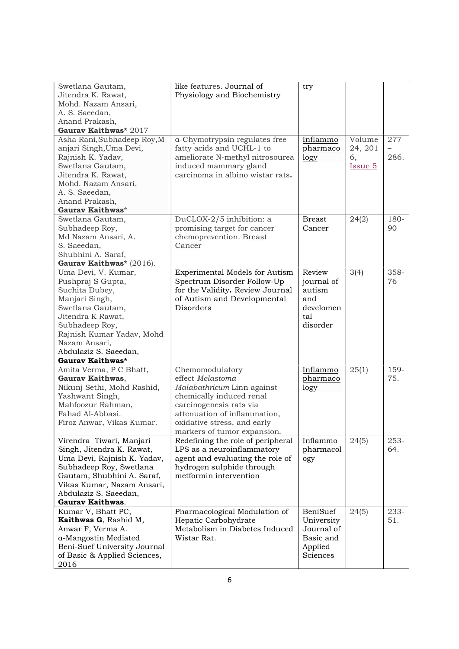| Swetlana Gautam,             | like features. Journal of         | try           |                |      |
|------------------------------|-----------------------------------|---------------|----------------|------|
| Jitendra K. Rawat,           | Physiology and Biochemistry       |               |                |      |
| Mohd. Nazam Ansari,          |                                   |               |                |      |
| A. S. Saeedan,               |                                   |               |                |      |
| Anand Prakash,               |                                   |               |                |      |
| Gaurav Kaithwas* 2017        |                                   |               |                |      |
| Asha Rani, Subhadeep Roy, M  | a-Chymotrypsin regulates free     | Inflammo      | Volume         | 277  |
| anjari Singh, Uma Devi,      | fatty acids and UCHL-1 to         | pharmaco      | 24, 201        |      |
| Rajnish K. Yadav,            | ameliorate N-methyl nitrosourea   | logy          | 6,             | 286. |
| Swetlana Gautam,             | induced mammary gland             |               | <u>Issue 5</u> |      |
|                              | carcinoma in albino wistar rats.  |               |                |      |
| Jitendra K. Rawat,           |                                   |               |                |      |
| Mohd. Nazam Ansari,          |                                   |               |                |      |
| A. S. Saeedan,               |                                   |               |                |      |
| Anand Prakash,               |                                   |               |                |      |
| Gaurav Kaithwas*             |                                   |               |                |      |
| Swetlana Gautam,             | DuCLOX-2/5 inhibition: a          | <b>Breast</b> | 24(2)          | 180- |
| Subhadeep Roy,               | promising target for cancer       | Cancer        |                | 90   |
| Md Nazam Ansari, A.          | chemoprevention. Breast           |               |                |      |
| S. Saeedan,                  | Cancer                            |               |                |      |
| Shubhini A. Saraf,           |                                   |               |                |      |
| Gaurav Kaithwas* (2016).     |                                   |               |                |      |
| Uma Devi, V. Kumar,          | Experimental Models for Autism    | Review        | 3(4)           | 358- |
| Pushpraj S Gupta,            | Spectrum Disorder Follow-Up       | journal of    |                | 76   |
| Suchita Dubey,               | for the Validity. Review Journal  | autism        |                |      |
| Manjari Singh,               | of Autism and Developmental       | and           |                |      |
| Swetlana Gautam,             | Disorders                         | develomen     |                |      |
| Jitendra K Rawat,            |                                   | tal           |                |      |
|                              |                                   |               |                |      |
| Subhadeep Roy,               |                                   | disorder      |                |      |
| Rajnish Kumar Yadav, Mohd    |                                   |               |                |      |
| Nazam Ansari,                |                                   |               |                |      |
| Abdulaziz S. Saeedan,        |                                   |               |                |      |
| Gaurav Kaithwas*             |                                   |               |                |      |
| Amita Verma, P C Bhatt,      | Chemomodulatory                   | Inflammo      | 25(1)          | 159- |
| Gaurav Kaithwas,             | effect Melastoma                  | pharmaco      |                | 75.  |
| Nikunj Sethi, Mohd Rashid,   | Malabathricum Linn against        | logy          |                |      |
| Yashwant Singh,              | chemically induced renal          |               |                |      |
| Mahfoozur Rahman,            | carcinogenesis rats via           |               |                |      |
| Fahad Al-Abbasi.             | attenuation of inflammation,      |               |                |      |
| Firoz Anwar, Vikas Kumar.    | oxidative stress, and early       |               |                |      |
|                              | markers of tumor expansion.       |               |                |      |
| Virendra Tiwari, Manjari     | Redefining the role of peripheral | Inflammo      | 24(5)          | 253- |
| Singh, Jitendra K. Rawat,    | LPS as a neuroinflammatory        | pharmacol     |                | 64.  |
| Uma Devi, Rajnish K. Yadav,  | agent and evaluating the role of  | ogy           |                |      |
| Subhadeep Roy, Swetlana      | hydrogen sulphide through         |               |                |      |
|                              | metformin intervention            |               |                |      |
| Gautam, Shubhini A. Saraf,   |                                   |               |                |      |
| Vikas Kumar, Nazam Ansari,   |                                   |               |                |      |
| Abdulaziz S. Saeedan,        |                                   |               |                |      |
| <b>Gaurav Kaithwas.</b>      |                                   |               |                |      |
| Kumar V, Bhatt PC,           | Pharmacological Modulation of     | BeniSuef      | 24(5)          | 233- |
| Kaithwas G, Rashid M,        | Hepatic Carbohydrate              | University    |                | 51.  |
| Anwar F, Verma A.            | Metabolism in Diabetes Induced    | Journal of    |                |      |
| a-Mangostin Mediated         | Wistar Rat.                       | Basic and     |                |      |
| Beni-Suef University Journal |                                   | Applied       |                |      |
| of Basic & Applied Sciences, |                                   | Sciences      |                |      |
| 2016                         |                                   |               |                |      |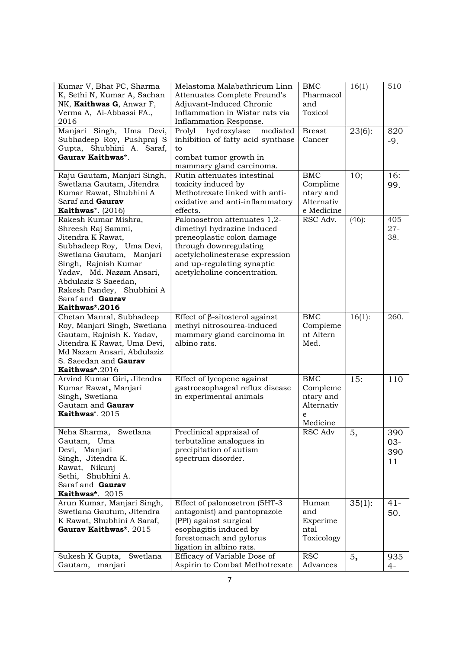| Kumar V, Bhat PC, Sharma                              | Melastoma Malabathricum Linn                               | <b>BMC</b>    | 16(1)     | 510    |
|-------------------------------------------------------|------------------------------------------------------------|---------------|-----------|--------|
| K, Sethi N, Kumar A, Sachan                           | Attenuates Complete Freund's                               | Pharmacol     |           |        |
| NK, Kaithwas G, Anwar F,                              | Adjuvant-Induced Chronic                                   | and           |           |        |
| Verma A, Ai-Abbassi FA.,<br>2016                      | Inflammation in Wistar rats via<br>Inflammation Response.  | Toxicol       |           |        |
|                                                       | mediated                                                   | <b>Breast</b> |           |        |
| Manjari Singh, Uma Devi,<br>Subhadeep Roy, Pushpraj S | hydroxylase<br>Prolyl<br>inhibition of fatty acid synthase | Cancer        | $23(6)$ : | 820    |
| Gupta, Shubhini A. Saraf,                             | to                                                         |               |           | $-9.$  |
| Gaurav Kaithwas*.                                     | combat tumor growth in                                     |               |           |        |
|                                                       | mammary gland carcinoma.                                   |               |           |        |
| Raju Gautam, Manjari Singh,                           | Rutin attenuates intestinal                                | <b>BMC</b>    | 10;       | 16:    |
| Swetlana Gautam, Jitendra                             | toxicity induced by                                        | Complime      |           | 99.    |
| Kumar Rawat, Shubhini A                               | Methotrexate linked with anti-                             | ntary and     |           |        |
| Saraf and Gaurav                                      | oxidative and anti-inflammatory                            | Alternativ    |           |        |
| Kaithwas*. $(2016)$                                   | effects.                                                   | e Medicine    |           |        |
| Rakesh Kumar Mishra,                                  | Palonosetron attenuates 1,2-                               | RSC Adv.      | $(46)$ :  | 405    |
| Shreesh Raj Sammi,                                    | dimethyl hydrazine induced                                 |               |           | $27 -$ |
| Jitendra K Rawat,                                     | preneoplastic colon damage                                 |               |           | 38.    |
| Subhadeep Roy, Uma Devi,                              | through downregulating                                     |               |           |        |
| Swetlana Gautam, Manjari                              | acetylcholinesterase expression                            |               |           |        |
| Singh, Rajnish Kumar                                  | and up-regulating synaptic                                 |               |           |        |
| Yadav, Md. Nazam Ansari,                              | acetylcholine concentration.                               |               |           |        |
| Abdulaziz S Saeedan,                                  |                                                            |               |           |        |
| Rakesh Pandey, Shubhini A                             |                                                            |               |           |        |
| Saraf and Gaurav                                      |                                                            |               |           |        |
| Kaithwas*.2016                                        |                                                            |               |           |        |
| Chetan Manral, Subhadeep                              | Effect of $\beta$ -sitosterol against                      | <b>BMC</b>    | $16(1)$ : | 260.   |
| Roy, Manjari Singh, Swetlana                          | methyl nitrosourea-induced                                 | Compleme      |           |        |
| Gautam, Rajnish K. Yadav,                             | mammary gland carcinoma in                                 | nt Altern     |           |        |
| Jitendra K Rawat, Uma Devi,                           | albino rats.                                               | Med.          |           |        |
| Md Nazam Ansari, Abdulaziz                            |                                                            |               |           |        |
| S. Saeedan and Gaurav                                 |                                                            |               |           |        |
| Kaithwas*.2016                                        |                                                            |               |           |        |
| Arvind Kumar Giri, Jitendra                           | Effect of lycopene against                                 | BMC           | 15:       | 110    |
| Kumar Rawat, Manjari                                  | gastroesophageal reflux disease                            | Compleme      |           |        |
| Singh, Swetlana                                       | in experimental animals                                    | ntary and     |           |        |
| Gautam and Gaurav                                     |                                                            | Alternativ    |           |        |
| Kaithwas <sup>*</sup> , 2015                          |                                                            | e             |           |        |
|                                                       |                                                            | Medicine      |           |        |
| Neha Sharma,<br>Swetlana                              | Preclinical appraisal of                                   | RSC Adv       | 5,        | 390    |
| Gautam, Uma                                           | terbutaline analogues in                                   |               |           | $03 -$ |
| Devi, Manjari                                         | precipitation of autism                                    |               |           | 390    |
| Singh, Jitendra K.                                    | spectrum disorder.                                         |               |           | 11     |
| Rawat, Nikunj<br>Shubhini A.<br>Sethi,                |                                                            |               |           |        |
| Saraf and Gaurav                                      |                                                            |               |           |        |
| Kaithwas*. 2015                                       |                                                            |               |           |        |
| Arun Kumar, Manjari Singh,                            | Effect of palonosetron (5HT-3                              | Human         | $35(1)$ : | $41 -$ |
| Swetlana Gautum, Jitendra                             | antagonist) and pantoprazole                               | and           |           | 50.    |
| K Rawat, Shubhini A Saraf,                            | (PPI) against surgical                                     | Experime      |           |        |
| Gaurav Kaithwas*. 2015                                |                                                            |               |           |        |
|                                                       |                                                            |               |           |        |
|                                                       | esophagitis induced by                                     | ntal          |           |        |
|                                                       | forestomach and pylorus                                    | Toxicology    |           |        |
| Sukesh K Gupta,<br>Swetlana                           | ligation in albino rats.<br>Efficacy of Variable Dose of   | <b>RSC</b>    | 5,        | 935    |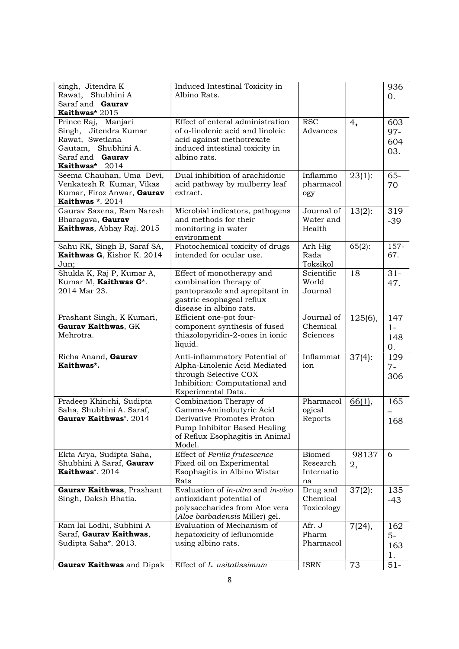| singh, Jitendra K<br>Rawat, Shubhini A<br>Saraf and Gaurav                                                                   | Induced Intestinal Toxicity in<br>Albino Rats.                                                                                                               |                                               |             | 936<br>$\overline{0}$ .                 |
|------------------------------------------------------------------------------------------------------------------------------|--------------------------------------------------------------------------------------------------------------------------------------------------------------|-----------------------------------------------|-------------|-----------------------------------------|
| Kaithwas* 2015                                                                                                               |                                                                                                                                                              |                                               |             |                                         |
| Prince Raj, Manjari<br>Singh, Jitendra Kumar<br>Rawat, Swetlana<br>Gautam, Shubhini A.<br>Saraf and Gaurav<br>Kaithwas* 2014 | Effect of enteral administration<br>of a-linolenic acid and linoleic<br>acid against methotrexate<br>induced intestinal toxicity in<br>albino rats.          | <b>RSC</b><br>Advances                        | 4,          | 603<br>$97 -$<br>604<br>03.             |
| Seema Chauhan, Uma Devi,<br>Venkatesh R Kumar, Vikas<br>Kumar, Firoz Anwar, Gaurav<br>Kaithwas *. 2014                       | Dual inhibition of arachidonic<br>acid pathway by mulberry leaf<br>extract.                                                                                  | Inflammo<br>pharmacol<br>ogy                  | 23(1):      | $65 -$<br>70                            |
| Gaurav Saxena, Ram Naresh<br>Bharagava, Gaurav<br>Kaithwas, Abhay Raj. 2015                                                  | Microbial indicators, pathogens<br>and methods for their<br>monitoring in water<br>environment                                                               | Journal of<br>Water and<br>Health             | $13(2)$ :   | 319<br>$-39$                            |
| Sahu RK, Singh B, Saraf SA,<br>Kaithwas G, Kishor K. 2014<br>Jun;                                                            | Photochemical toxicity of drugs<br>intended for ocular use.                                                                                                  | Arh Hig<br>Rada<br>Toksikol                   | $65(2)$ :   | 157-<br>67.                             |
| Shukla K, Raj P, Kumar A,<br>Kumar M, Kaithwas G*.<br>2014 Mar 23.                                                           | Effect of monotherapy and<br>combination therapy of<br>pantoprazole and aprepitant in<br>gastric esophageal reflux<br>disease in albino rats.                | Scientific<br>World<br>Journal                | 18          | $31-$<br>47.                            |
| Prashant Singh, K Kumari,<br>Gaurav Kaithwas, GK<br>Mehrotra.                                                                | Efficient one-pot four-<br>component synthesis of fused<br>thiazolopyridin-2-ones in ionic<br>liquid.                                                        | Journal of<br>Chemical<br>Sciences            | $125(6)$ ,  | 147<br>$1 -$<br>148<br>$\overline{0}$ . |
| Richa Anand, Gaurav<br>Kaithwas*.                                                                                            | Anti-inflammatory Potential of<br>Alpha-Linolenic Acid Mediated<br>through Selective COX<br>Inhibition: Computational and<br>Experimental Data.              | Inflammat<br>ion                              | $37(4)$ :   | 129<br>$7-$<br>306                      |
| Pradeep Khinchi, Sudipta<br>Saha, Shubhini A. Saraf,<br>Gaurav Kaithwas*. 2014                                               | Combination Therapy of<br>Gamma-Aminobutyric Acid<br>Derivative Promotes Proton<br>Pump Inhibitor Based Healing<br>of Reflux Esophagitis in Animal<br>Model. | Pharmacol<br>ogical<br>Reports                | 66(1),      | 165<br>168                              |
| Ekta Arya, Sudipta Saha,<br>Shubhini A Saraf, Gaurav<br>Kaithwas*. 2014                                                      | Effect of Perilla frutescence<br>Fixed oil on Experimental<br>Esophagitis in Albino Wistar<br>Rats                                                           | <b>Biomed</b><br>Research<br>Internatio<br>na | 98137<br>2, | 6                                       |
| Gaurav Kaithwas, Prashant<br>Singh, Daksh Bhatia.                                                                            | Evaluation of <i>in-vitro</i> and <i>in-vivo</i><br>antioxidant potential of<br>polysaccharides from Aloe vera<br>(Aloe barbadensis Miller) gel.             | Drug and<br>Chemical<br>Toxicology            | $37(2)$ :   | 135<br>$-43$                            |
| Ram lal Lodhi, Subhini A<br>Saraf, Gaurav Kaithwas,<br>Sudipta Saha*. 2013.                                                  | Evaluation of Mechanism of<br>hepatoxicity of leflunomide<br>using albino rats.                                                                              | Afr. J<br>Pharm<br>Pharmacol                  | 7(24),      | 162<br>$5-$<br>163<br>1.                |
| Gaurav Kaithwas and Dipak                                                                                                    | Effect of L. usitatissimum                                                                                                                                   | <b>ISRN</b>                                   | 73          | $51-$                                   |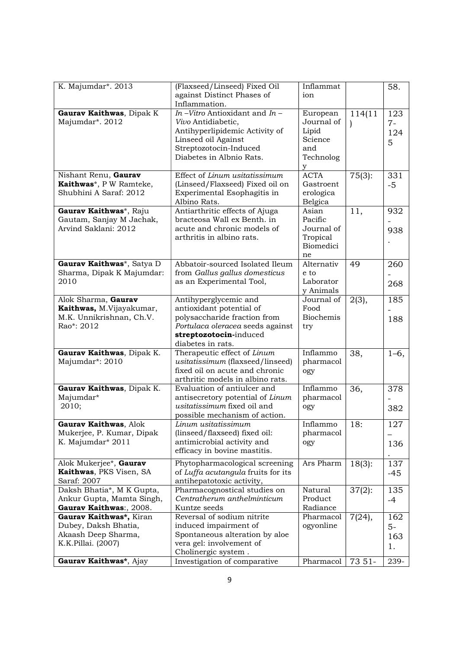| K. Majumdar*. 2013                             | (Flaxseed/Linseed) Fixed Oil<br>against Distinct Phases of      | Inflammat<br>ion |               | 58.    |
|------------------------------------------------|-----------------------------------------------------------------|------------------|---------------|--------|
| Gaurav Kaithwas, Dipak K                       | Inflammation.<br>In -Vitro Antioxidant and In -                 | European         | 114(11        | 123    |
| Majumdar*. 2012                                | Vivo Antidiabetic,                                              | Journal of       | $\mathcal{L}$ | $7-$   |
|                                                | Antihyperlipidemic Activity of                                  | Lipid            |               | 124    |
|                                                | Linseed oil Against                                             | Science          |               | 5      |
|                                                | Streptozotocin-Induced<br>Diabetes in Albnio Rats.              | and<br>Technolog |               |        |
|                                                |                                                                 | y                |               |        |
| Nishant Renu, Gaurav                           | Effect of Linum usitatissimum                                   | <b>ACTA</b>      | $75(3)$ :     | 331    |
| Kaithwas*, P W Ramteke,                        | (Linseed/Flaxseed) Fixed oil on                                 | Gastroent        |               | $-5$   |
| Shubhini A Saraf: 2012                         | Experimental Esophagitis in                                     | erologica        |               |        |
|                                                | Albino Rats.                                                    | Belgica          |               |        |
| Gaurav Kaithwas*, Raju                         | Antiarthritic effects of Ajuga                                  | Asian            | 11,           | 932    |
| Gautam, Sanjay M Jachak,                       | bracteosa Wall ex Benth. in                                     | Pacific          |               |        |
| Arvind Saklani: 2012                           | acute and chronic models of                                     | Journal of       |               | 938    |
|                                                | arthritis in albino rats.                                       | Tropical         |               |        |
|                                                |                                                                 | Biomedici        |               |        |
| Gaurav Kaithwas*, Satya D                      | Abbatoir-sourced Isolated Ileum                                 | ne<br>Alternativ | 49            | 260    |
| Sharma, Dipak K Majumdar:                      | from Gallus gallus domesticus                                   | e to             |               |        |
| 2010                                           | as an Experimental Tool,                                        | Laborator        |               | 268    |
|                                                |                                                                 | y Animals        |               |        |
| Alok Sharma, Gaurav                            | Antihyperglycemic and                                           | Journal of       | $2(3)$ ,      | 185    |
| Kaithwas, M.Vijayakumar,                       | antioxidant potential of                                        | Food             |               |        |
| M.K. Unnikrishnan, Ch.V.                       | polysaccharide fraction from                                    | <b>Biochemis</b> |               | 188    |
| Rao*: 2012                                     | Portulaca oleracea seeds against                                | try              |               |        |
|                                                | streptozotocin-induced                                          |                  |               |        |
| Gaurav Kaithwas, Dipak K.                      | diabetes in rats.<br>Therapeutic effect of Linum                | Inflammo         | 38,           | $1-6,$ |
| Majumdar*: 2010                                | usitatissimum (flaxseed/linseed)                                | pharmacol        |               |        |
|                                                | fixed oil on acute and chronic                                  | ogy              |               |        |
|                                                | arthritic models in albino rats.                                |                  |               |        |
| Gaurav Kaithwas, Dipak K.                      | Evaluation of antiulcer and                                     | Inflammo         | 36,           | 378    |
| Majumdar*                                      | antisecretory potential of Linum                                | pharmacol        |               |        |
| 2010;                                          | usitatissimum fixed oil and                                     | ogy              |               | 382    |
|                                                | possible mechanism of action.                                   |                  |               |        |
| Gaurav Kaithwas, Alok                          | Linum usitatissimum                                             | Inflammo         | 18:           | 127    |
| Mukerjee, P. Kumar, Dipak<br>K. Majumdar* 2011 | (linseed/flaxseed) fixed oil:<br>antimicrobial activity and     | pharmacol        |               |        |
|                                                | efficacy in bovine mastitis.                                    | ogy              |               | 136    |
|                                                |                                                                 |                  |               |        |
| Alok Mukerjee*, Gaurav                         | Phytopharmacological screening                                  | Ars Pharm        | $18(3)$ :     | 137    |
| Kaithwas, PKS Visen, SA<br>Saraf: 2007         | of Luffa acutangula fruits for its<br>antihepatotoxic activity, |                  |               | -45    |
| Daksh Bhatia*, M K Gupta,                      | Pharmacognostical studies on                                    | Natural          | $37(2)$ :     | 135    |
| Ankur Gupta, Mamta Singh,                      | Centratherum anthelminticum                                     | Product          |               | $-4$   |
| Gaurav Kaithwas:, 2008.                        | Kuntze seeds                                                    | Radiance         |               |        |
| Gaurav Kaithwas*, Kiran                        | Reversal of sodium nitrite                                      | Pharmacol        | 7(24),        | 162    |
| Dubey, Daksh Bhatia,                           | induced impairment of                                           | ogyonline        |               | $5-$   |
| Akaash Deep Sharma,                            | Spontaneous alteration by aloe                                  |                  |               | 163    |
| K.K.Pillai. (2007)                             | vera gel: involvement of                                        |                  |               | 1.     |
|                                                | Cholinergic system.                                             |                  |               |        |
| Gaurav Kaithwas*, Ajay                         | Investigation of comparative                                    | Pharmacol        | 73 51-        | 239-   |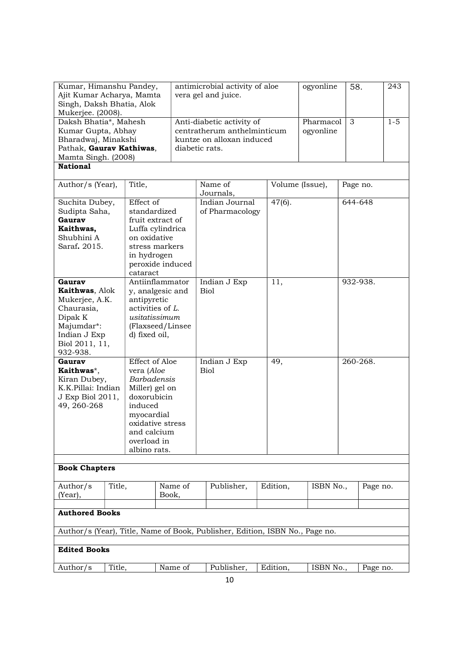| Kumar, Himanshu Pandey,<br>Ajit Kumar Acharya, Mamta<br>Singh, Daksh Bhatia, Alok<br>Mukerjee. (2008).                          |        |                                                                                                                                                            |                                                         | antimicrobial activity of aloe<br>vera gel and juice.                                                   |                                                                              | ogyonline              | 58.             |  | 243      |  |
|---------------------------------------------------------------------------------------------------------------------------------|--------|------------------------------------------------------------------------------------------------------------------------------------------------------------|---------------------------------------------------------|---------------------------------------------------------------------------------------------------------|------------------------------------------------------------------------------|------------------------|-----------------|--|----------|--|
| Daksh Bhatia*, Mahesh<br>Kumar Gupta, Abhay<br>Bharadwaj, Minakshi<br>Pathak, Gaurav Kathiwas,<br>Mamta Singh. (2008)           |        |                                                                                                                                                            |                                                         | Anti-diabetic activity of<br>centratherum anthelminticum<br>kuntze on alloxan induced<br>diabetic rats. |                                                                              | Pharmacol<br>ogyonline | 3               |  | $1 - 5$  |  |
| <b>National</b>                                                                                                                 |        |                                                                                                                                                            |                                                         |                                                                                                         |                                                                              |                        |                 |  |          |  |
| Author/s (Year),                                                                                                                |        | Title,                                                                                                                                                     |                                                         |                                                                                                         | Name of<br>Journals,                                                         |                        | Volume (Issue), |  | Page no. |  |
| Suchita Dubey,<br>Sudipta Saha,<br>Gaurav<br>Kaithwas,<br>Shubhini A<br>Saraf. 2015.                                            |        | Effect of<br>standardized<br>fruit extract of<br>on oxidative<br>stress markers<br>in hydrogen<br>cataract                                                 | Luffa cylindrica<br>peroxide induced                    |                                                                                                         | Indian Journal<br>of Pharmacology                                            | $47(6)$ .              |                 |  | 644-648  |  |
| Gaurav<br>Kaithwas, Alok<br>Mukerjee, A.K.<br>Chaurasia,<br>Dipak K<br>Majumdar*:<br>Indian J Exp<br>Biol 2011, 11,<br>932-938. |        | antipyretic<br>activities of L.<br>usitatissimum<br>d) fixed oil,                                                                                          | Antiinflammator<br>y, analgesic and<br>(Flaxseed/Linsee |                                                                                                         | Indian J Exp<br><b>Biol</b>                                                  | 11,                    |                 |  | 932-938. |  |
| Gaurav<br>Kaithwas*,<br>Kiran Dubey,<br>K.K.Pillai: Indian<br>J Exp Biol 2011,<br>49, 260-268                                   |        | Effect of Aloe<br>vera (Aloe<br><b>Barbadensis</b><br>Miller) gel on<br>doxorubicin<br>induced<br>myocardial<br>and calcium<br>overload in<br>albino rats. | oxidative stress                                        |                                                                                                         | Indian J Exp<br><b>Biol</b>                                                  | 49,                    |                 |  | 260-268. |  |
| <b>Book Chapters</b>                                                                                                            |        |                                                                                                                                                            |                                                         |                                                                                                         |                                                                              |                        |                 |  |          |  |
| Author/s<br>(Year),                                                                                                             | Title, |                                                                                                                                                            | Name of<br>Book,                                        |                                                                                                         | Publisher,                                                                   | Edition,               | ISBN No.,       |  | Page no. |  |
| <b>Authored Books</b>                                                                                                           |        |                                                                                                                                                            |                                                         |                                                                                                         |                                                                              |                        |                 |  |          |  |
|                                                                                                                                 |        |                                                                                                                                                            |                                                         |                                                                                                         | Author/s (Year), Title, Name of Book, Publisher, Edition, ISBN No., Page no. |                        |                 |  |          |  |
| <b>Edited Books</b>                                                                                                             |        |                                                                                                                                                            |                                                         |                                                                                                         |                                                                              |                        |                 |  |          |  |
| Author/s                                                                                                                        | Title, |                                                                                                                                                            | Name of                                                 |                                                                                                         | Publisher,                                                                   | Edition,               | ISBN No.,       |  | Page no. |  |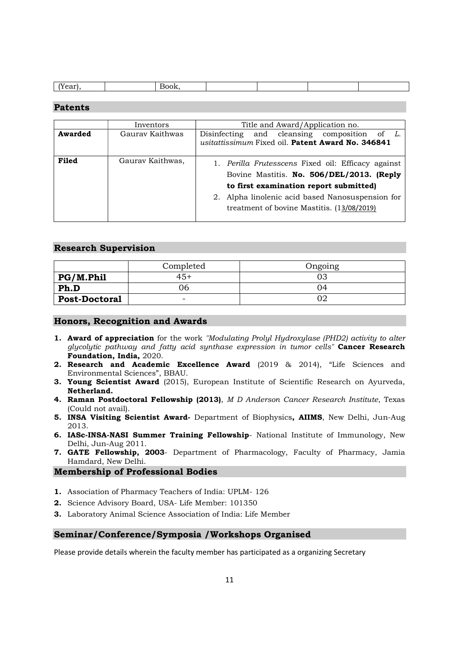| $\sqrt{ }$ | . |  |  |
|------------|---|--|--|

#### Patents

|         | Inventors        | Title and Award/Application no.                                                                                                                                                                                                          |  |  |  |  |  |
|---------|------------------|------------------------------------------------------------------------------------------------------------------------------------------------------------------------------------------------------------------------------------------|--|--|--|--|--|
| Awarded | Gauray Kaithwas  | and cleansing composition<br>of $L$ .<br>Disinfecting<br>usitattissimum Fixed oil. Patent Award No. 346841                                                                                                                               |  |  |  |  |  |
| Filed   | Gaurav Kaithwas, | 1. Perilla Frutesscens Fixed oil: Efficacy against<br>Bovine Mastitis. No. 506/DEL/2013. (Reply<br>to first examination report submitted)<br>Alpha linolenic acid based Nanosuspension for<br>treatment of bovine Mastitis. (13/08/2019) |  |  |  |  |  |

#### Research Supervision

|                      | Completed | Ongoing |
|----------------------|-----------|---------|
| PG/M.Phil            | 45+       |         |
| Ph.D                 | Э6        | 04      |
| <b>Post-Doctoral</b> | -         |         |

## Honors, Recognition and Awards

- 1. Award of appreciation for the work "Modulating Prolyl Hydroxylase (PHD2) activity to alter glycolytic pathway and fatty acid synthase expression in tumor cells" Cancer Research Foundation, India, 2020.
- 2. Research and Academic Excellence Award (2019 & 2014), "Life Sciences and Environmental Sciences", BBAU.
- **3. Young Scientist Award** (2015), European Institute of Scientific Research on Ayurveda, Netherland.
- 4. Raman Postdoctoral Fellowship (2013), M D Anderson Cancer Research Institute, Texas (Could not avail).
- 5. INSA Visiting Scientist Award- Department of Biophysics, AIIMS, New Delhi, Jun-Aug 2013.
- 6. IASc-INSA-NASI Summer Training Fellowship- National Institute of Immunology, New Delhi, Jun-Aug 2011.
- 7. GATE Fellowship, 2003- Department of Pharmacology, Faculty of Pharmacy, Jamia Hamdard, New Delhi.

## Membership of Professional Bodies

- 1. Association of Pharmacy Teachers of India: UPLM- 126
- 2. Science Advisory Board, USA- Life Member: 101350
- 3. Laboratory Animal Science Association of India: Life Member

#### Seminar/Conference/Symposia /Workshops Organised

Please provide details wherein the faculty member has participated as a organizing Secretary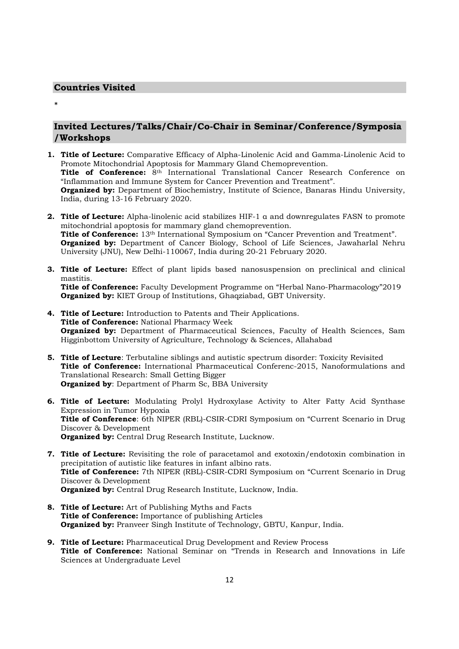#### Countries Visited

\*

# Invited Lectures/Talks/Chair/Co-Chair in Seminar/Conference/Symposia /Workshops

- 1. Title of Lecture: Comparative Efficacy of Alpha-Linolenic Acid and Gamma-Linolenic Acid to Promote Mitochondrial Apoptosis for Mammary Gland Chemoprevention. Title of Conference:  $8<sup>th</sup>$  International Translational Cancer Research Conference on "Inflammation and Immune System for Cancer Prevention and Treatment". **Organized by:** Department of Biochemistry, Institute of Science, Banaras Hindu University, India, during 13-16 February 2020.
- **2. Title of Lecture:** Alpha-linolenic acid stabilizes HIF-1  $\alpha$  and downregulates FASN to promote mitochondrial apoptosis for mammary gland chemoprevention. Title of Conference: 13<sup>th</sup> International Symposium on "Cancer Prevention and Treatment". **Organized by:** Department of Cancer Biology, School of Life Sciences, Jawaharlal Nehru University (JNU), New Delhi-110067, India during 20-21 February 2020.
- **3. Title of Lecture:** Effect of plant lipids based nanosuspension on preclinical and clinical mastitis. Title of Conference: Faculty Development Programme on "Herbal Nano-Pharmacology"2019 Organized by: KIET Group of Institutions, Ghaqziabad, GBT University.
- 4. Title of Lecture: Introduction to Patents and Their Applications. Title of Conference: National Pharmacy Week **Organized by:** Department of Pharmaceutical Sciences, Faculty of Health Sciences, Sam Higginbottom University of Agriculture, Technology & Sciences, Allahabad
- 5. Title of Lecture: Terbutaline siblings and autistic spectrum disorder: Toxicity Revisited Title of Conference: International Pharmaceutical Conferenc-2015, Nanoformulations and Translational Research: Small Getting Bigger Organized by: Department of Pharm Sc, BBA University
- 6. Title of Lecture: Modulating Prolyl Hydroxylase Activity to Alter Fatty Acid Synthase Expression in Tumor Hypoxia Title of Conference: 6th NIPER (RBL)-CSIR-CDRI Symposium on "Current Scenario in Drug Discover & Development **Organized by:** Central Drug Research Institute, Lucknow.
- 7. Title of Lecture: Revisiting the role of paracetamol and exotoxin/endotoxin combination in precipitation of autistic like features in infant albino rats. Title of Conference: 7th NIPER (RBL)-CSIR-CDRI Symposium on "Current Scenario in Drug Discover & Development Organized by: Central Drug Research Institute, Lucknow, India.
- 8. Title of Lecture: Art of Publishing Myths and Facts Title of Conference: Importance of publishing Articles **Organized by:** Pranveer Singh Institute of Technology, GBTU, Kanpur, India.
- **9. Title of Lecture:** Pharmaceutical Drug Development and Review Process Title of Conference: National Seminar on "Trends in Research and Innovations in Life Sciences at Undergraduate Level